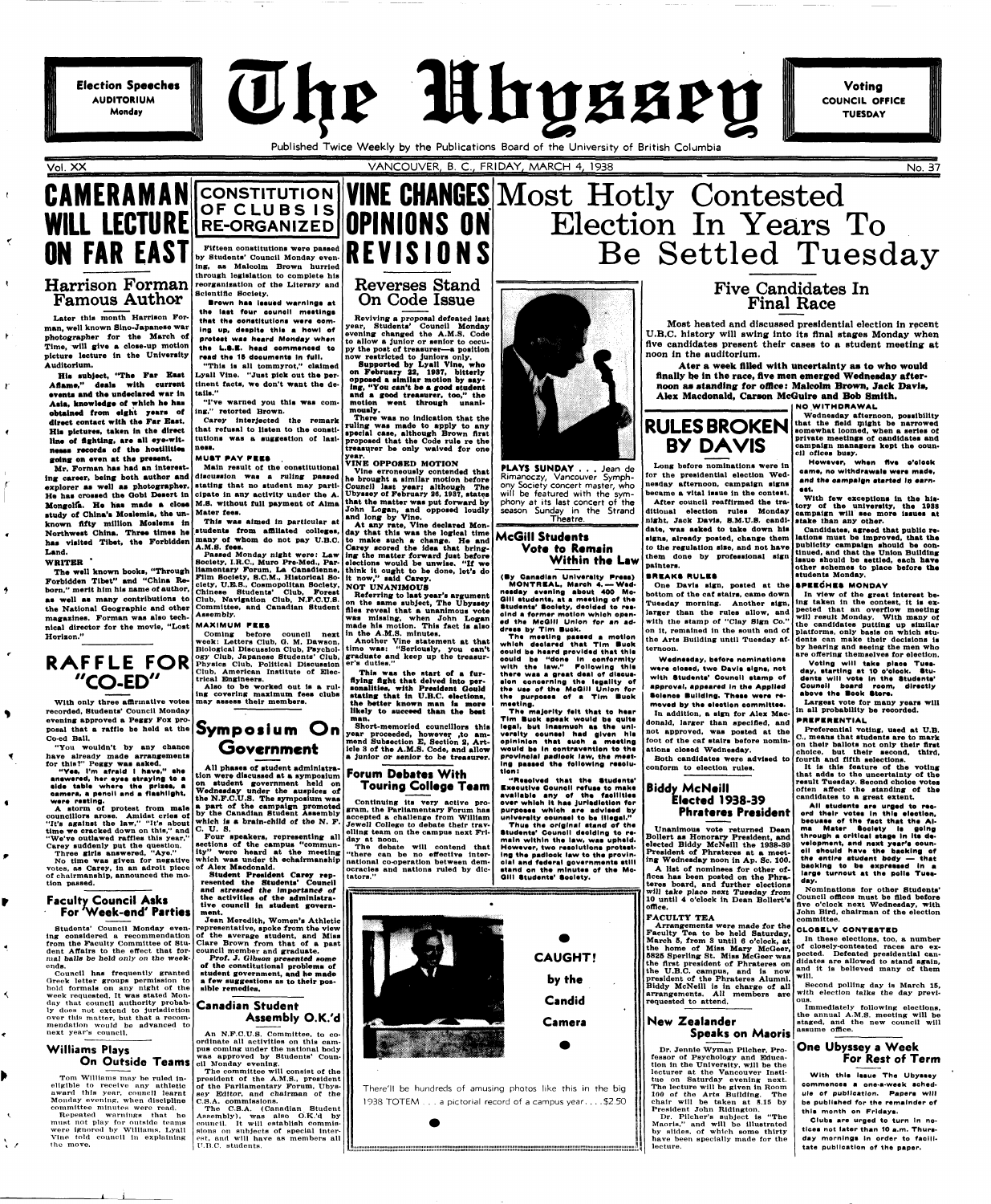**Election Speeches AUDITORIUM Monday** 

The Mhyssey

# Published Twice Weekly by the Publications Board of the University of British Columbia

**Voting COUNCIL OFFICE TUESDAY** 

 $\check{\mathbf{r}}$ 

 $\mathbf{R}$ 

 $\mathbf{r}$ 

 $\ddot{\bullet}$ 

 $\pmb{\epsilon}$ 

 $\bullet$ 

 $\blacktriangleleft$ 

≺

٠

 $\mathbf{t}$ 

# **CAMERAMAN FAR EAST**

# **Harrison Forman Famous Author**

**Later this month Harrison Forman, well known Sino-Japanese war photographer for the March of Time, will give a close-up motion picture lecture in the University Auditorium.** 

His subject, "The Far East Aflame," deals with current **•vents and tho undeclared war in**  Asia, knowledge of which he has **obtained from eight years of direct contact with the Far Bast. His pictures, taken in the direct line of fighting, are all eye-wit**nesss records of the hostilities going on even at the present.

**Mr. Forman has had an interesting career, being both author and discussion was a ruling passed**  explorer as well as photographer. stating that no student may parti-**He has crossed the Qobl Desert In cipate In any activity under the A. Mongolia. Ho has made a close M.S. without full payment ot Alma study of China's Moslemia, the un-Mater fees. known fifty million Moslems in**  Northwest China. Three times he students from affiliated colleges, day that this was the logical time **has visited Tibet, the Forbidden Land.** 

#### **WRITER \***

**The well known books, "Through Forbidden Tibet" and "China Reborn," merit him his name of author, as well as many contributions to Chinese Students' Club, Forest the National Geographic and other magazines. Forman waa alao technical director for the movie, "Lost Horizon."** 

**With only three affirmative votes may assess tbeir members. recorded, Students' Council Monday evening approved a Peggy Fox proposal that a raffle be held at the Symposium O n Co-ed Ball.** 

**"You wouldn't by any chance have already made arrangements for this?" Peggy was asked.** 

**"Yea, I'm afraid I have," ehe anawered, her eyes straying to a side table where the prizes, a camera, a penoll and a flashlight, ware raatlng.** 

**Brown has issued warnings at** the last four council meetings that the constitutions were com-**Ing up, daeplte thla a howl of protest was heard Monday when** the L.S.E. head commenced to read the 15 documents in full. **"Thla ia all tommyrot," claimed**  Lyall Vine. "Just pick out the per**tinent tacts, we don't want the de-**

**A atorm of protest from male councillors arose. Amidst cries of** 

VANCOUVER, B. C., FRIDAY, MARCH 4, 1938 No. 37

**"It's against the law," "It's about time we cracked down on thia," and C. U, S. "We've outlawed raffles thia year," Carey suddenly put the question.** 

**Three girls answered, "Aye." No time was given for negative votes, as Carey, in an adroit piece of chairmanship, announced the motion passed.** 

# **Faculty Council Asks For 'Week-end' Parties**

**Students' Council Monday evening considered a recommendation from the Faculty Committee of Student Affairs to the effect that formal balls be held only on the weekends.** 

Also to be worked out is a rul**ing covering maximum fees clubs** 

**Council has frequently granted Greek letter groups permission to hold formals on any night of the week requested. It was stated Monday that council authority probably doea not extend to Jurisdiction over this matter, but that a recommendation would be advanced to next year's council.** 

which was under th echairmanship national co-operation between dem**of Alex Macdonald.** 

# **Williams Plays On Outside Teams**

**Tom Williams may be ruled Ineligible to receive any athletic award thla year, council learnt Monday eventng, when discipline committee minutes were read.** 

**Repeated warnings that he must not play for outside teams were ignored by Williams, Lyall Vine told council in explaining the move.** 



**CONSTITUTION** 

# WILL LEGIUKE RE-ORGANIZED UPINIUNS UN **OF CLUB S I S Fifteen constitutions were passed**  by Students' Council Monday even-**REVISIONS ing, as Malcolm Brown hurried through legislation to complete his reorganisation of the Literary and VINE CHANGES Most Hotly Contested Reverses Stand**

**Scientific Society.** 

**tails."** 

**"I've warned you this was com-**

**ing," retorted Brown.** 

**Carey Interjected the remark that refusal to listen to the constitutions was a suggestion of last-**

**ness.** 

**MUST PAY PEEKS** 

**Main result of the constitutional** 

**This was aimed in particular at** 

**many of whom do not pay U.B.C.** 

**A.M.S. fees.** 

**Passed Monday night were: Law Society, I.R.C, Muro Pre-Med., Parliamentary Forum, La Canadlenne, Film Society, 8.CM., Historical So-**

**Club, Navigation Club, N.F.C.U.S. Committee, and Canadian Student** 

**Assembly. MAXIMU M PEES** 

**week: Letters Club, O. M. Dawson, Biological Discussion Club, Psychology Club, Japanese Students' Club,** 

**Club, American Institute of Elec-**

**Government** 

**AU phases of student administra-**

**on student government held on Wednesday under the auspices of** 

The majority felt that to hear **T im Buek apeak would b\* quit\***  legal, but inaemuch as the uni**versity counael had given hie oplnlnlon that auch a meeting would be In contravention to the**  provincial padlock law, the meet**ing paaaed the following reaolution:** 

**which is a brain-child of the N. F. Four speakers, representing all sections of the campus "community" were heard at the meeting** 

> **Student President Carey represented the Students' Council and stressed the importance** *ot*  **the activities of the administrative council in student government.**

**Jean Meredith, Women's Athletic representative, spoke from the view of the average student, and Miss Clare Brown from that of a past council member and graduate.** 

**Prof. J. Gibson presented some of the constitutional problems of student government, and he made a few suggestions as to their possible remedies.** 

**Canadian Student Assembly O.K.'d** 

**An N.F.C.U.S. Committee, to coordinate all activities on this campus coming under the national body was approved by Students' Council Monday evening.** 

#### **ciety, U.E.S., Cosmopolitan Society, NOT UNANIMOUS**

**The committee will consist of the president of the A.M.S., president of the Parliamentary Forum, Ubyssey Editor, and chairman of the C.S.A. commissions.** 

**Coming before council next in the A.M.S. minutes. Referring to last year's argument on the same subject, The Ubyssey files reveal that a unanimous vote was missing, when John Logan made his motion. This fact is also** 

**The C.S.A. (Canadian Student Assembly), was also O.K.'d by council. It will establish commissions on subjects of special Inter**est, and will have as members all **U.H.C. students.** 

# **On Code Issue**

**Reviving a proposal defeated last year, Students' Council Monday evening changed the A.M.S. Code to allow a junior or senior to occupy the poat of treasurer—a position now restricted to juniors only.** 

# **tion were discussed at a symposium Forum Debates With Touring College Team**

**the N.F.C.U.S. The symposium was a part of the campaign promoted by the Canadian Student Assembly Continuing its very active pro-gram, the Parliamentary Forum has accepted a challenge from William Jewell College to debate their trav-**



**Supported by Lyall Vine, who on February 22, 1987, bitterly opposed a similar motion by saying, "You can't bo a good student and a good treasurer, too," the motion went through unanimously.** 

> With few exceptions in the history of the university, the 1938 **campaign will aee more Issues at**  night, Jack Davis, S.M.U.S. candi- stake than any other. **became a vital issue in the contest. ditional election rules Monday**

**There was no indication that the ruling was made to apply to any •pedal case, although Brown first proposed that the Code rule re the treasurer be only waived for one year.** 

**VINE OPPOSED MOTION** 

**Vine erroneously contended that he brought a similar motion before Council laat years although The Ubyaaey ot February 26, 1987, atatea that the matter was put forward by John Logan, and opposed loudly and long by Vine.** 

**At any rate, Vine declared Monto make such a change. He and Carey scored the idea that bringing the matter forward just before elections would be unwise. "If we think it ought to be done, let's do It now," said Carey.** 

> **didates are allowed to stand again,**<br> **the first president of Phrateres on** and it is believed many of them **Arrangements were made for the Faculty Tea to be held Saturday, March 6, from 3 until 6 o'clock, at the home of Miss Mary McOeer, 6825 Sperling St. Miss McGeer waa the U.B.C. campus, and is now president of the Phrateres Alumni. Biddy McNeill is in charge of all arrangements. All members are requested to attend.**

**Another Vine statement at that time was: "Seriously, you can't graduate and keep up the treasurer's duties."** 

**This was the start of a fur-**

**flying flght that delved into personalities, with President Gould stating that in U.B.C. elections, the better known man ia moro likely to succeed than the beat man.** 

**Short-memoried councillors this year proceeded, however ,to ammend Subsection E, Section 2, Article 3 of the A.M.S. Code, and allow a junior or senior to be treasurer.** 

**elling team on the campus next Friday at noon.** 

**The debate will contend that "there can be no effective interocracies and nations ruled by dictators."** 

Election In Years To

Be Settled Tuesday

**PLAYS SUNDAY** . . . Jean de Rimanoczy, Vancouver Symphony Society concert master, who will be featured with the symphony at its last concert of the season Sunday in the Strand Theatre.

**McGiil Students Vote to Remain Within the Law** 

#### **(By Canadian University Press) MONTREAL, Maroh 4. —Wed neaday evening about 400 Mc-Olll etudente, at a meeting of the Studenta' Society, deolded to rescind a former motion whloh opened the McOlll Union for an ad**dress by Tim Buck.

**The meeting paaaed a motion**  which declared that Tim **Buck oould be heard provided that thla oould be "done In eonformlty with the law." Following thla there waa a great deal of dleeueelon ooneernlng the legality of the uae of the MoOill Union for**  the purposes of a Tim Buck **mooting.** 

**CAUGHT!** 

**by the** 

**Candid** 

**Camera** 

**There'll be hundreds of amusing photos like this in the big 1938 TOTE M .. . a pictorial record of a campus year. . . .\$2.50** 

**IMIIIHIItimillltlllHI** 

# **Five Candidates In Final Race**

Most heated and discussed presidential election in recent U.B.C. history will swing into its final stages Monday when five candidates present their cases to a student meeting at noon in the auditorium.

**Ater a week filled with uncertainty aa to who would finally he in the race, five men emerged Wednesday afternoon as standing for offlce: Malcolm Brown, Jack Davis, Alex Macdonald, Carson McGulre and Bob Smith.** 

# **NO WITHDRAWAL**

**Wednesday afternoon, possibility that the field nilght be narrowed**  RULES BROKEN **show that the field might** be narrowed **private meetings of candidates and campaign managers kept the oounoil oflces busy.** 

**However, when five o'otook came, no withdrawale were made,** and the campaign started in earn-**•at.** 

**Candidates, agreed that public re**signs, already posted, change them lations must be improved, that the<br>to the regulation sige, and not have **publicity campaign should be continued, and that the Union Building issue should be settled, each have other schemes to place before the students Monday.** 

#### One Davis sign, posted at the **SPEECHES MONDAY**

**In view of the great interest be-**Tuesday morning. Another sign, ing taken in the contest, it is exlarger than the rules allow, and pected that an overflow meeting **will result Monday. With many of the candidates putting up similar**  on it, remained in the south end of **platforms**, only basis on which stuthe Arts Building until Tuesday af- dents can make their decisions is **by hearing and seeing the men who are offering themselves tor election.** 

**Voting will take plaoe Tueeday, starting at 10 o'eloek. Studenta will vote In the Studenta' Counoil board room, dlreotly above the Book Store.** 

**Largest vote tor many yeara will in all probability be recorded.** 

**Preferential voting, used at U.B. O, means that students are to mark on their ballots not only their flrst choice, but their second, third, fourth and fifth selections.** 

**"Resolved that th \* Studenta' Bxeoutlve Counoil refuae to make**  available any of the faoilities over which it has jurisdiction for **purpoaea whloh are advlaad by unlveralty oounael to be Illegal." Thue the original etand of the**  Students' Council deciding to re**main within the law, wae upheld. However, two resolutions protesting the padloek law to the provincial and federal governmente still stand on the minutes of the Mo-Oill Studenta' Society. Biddy McNeill Elected 1938-39 Phrateres President Unanimous vote returned Dean Bollert as Honorary President, and elected Biddy McNeill the 1938-89 President of Phrateres at a meeting Wednesday noon in Ap. Sc. 100.** 

**It is this feature of the voting that adds to the uncertainty of the result Tuesday. Second choice votes often affect the standing ot the candidates to a great extent.** 

**All students are urged to rec**ord their votes in this election, becu**ase of the fact that the Alma Mater Society is going through a critical atage In Ite development, and next year'a eounell ahould have the booking of the entire etudent body — that baoklng to bo expreaaed In a large turnout at the polle Tuesday.** 



**Nominations for other Students' Council offices must be filed before five o'clock next Wednesday, with John Bird, chairman of the election committee.** 

#### **CLOSBLY CONTESTE D**

**In these elections, too, a number of closely-contested races are expected. Defeated presidential canwill.** 

**Second polling day is March 15, with election talks the day previous.** 

**PREFERENTIA L In addition, a sign for Alex Macdonald, larger than specified, and** 

> **Immediately following elections, the annual A.M.S. meeting will be staged, and the new council will assume offlce.**

**BY DAVIS** 

**Long before nominations were ln for the presidential election Wednesday afternoon, campaign signs** 

**After council reaffirmed the tra-**

**date, was asked to take down his** 

**to the regulation sise, and not bave them done by professional sign** 

**painters.** 

**BREAKS RULES** 

**bottom ot the caf stairs, came down** 

**with the stamp of "Clay Sign Co."** 

**ternoon.** 

**Wodneeday, before nominations**  were closed, two Davis signs, not with Students' Council stamp of **approval, appeared In the Applied Science Building. These were removed by the eleotion oommlttoe.** 

**not approved, was posted at the foot of the cat stairs before nomin-**

**ations closed Wednesday.** 

**Both candidates were advised to** 

**conform to election rules.** 

**A list of nominees for other offices has been posted on the Phrateres board, and further elections will take place next Tuesday** *trom*  **10 until 4 o'clock in Dean Bollert's offlce.** 

### **FACULTY TEA**

# **New Zealander Speaks on Maoris**

**Dr. Jennie Wyman Pilcher, Pro**fessor of Psychology and Educa**tion in the University, will be the lecturer at the Vancouver Instltue on Saturday evening next. The lecture will be given in Room 100 of the Arts Building. The chair will be taken at 8.15 by President John Ridington.** 

**Dr. Pllcher's subject ls "The Maoris," and will be illustrated by slides, of which some thirty have been specially made for the lecture.** 

# **One Ubyssey a Week For Rest of Term**

**With this Issue The Ubyssey commenoes a one-a-week aohedule of publication. Papera will be published for the remainder of thia month on Fridaya.** 

**Cluba are urged to turn In notices not later than 10 a.m. Thuraday mornlnga In order to facilitate publication of the paper.** 

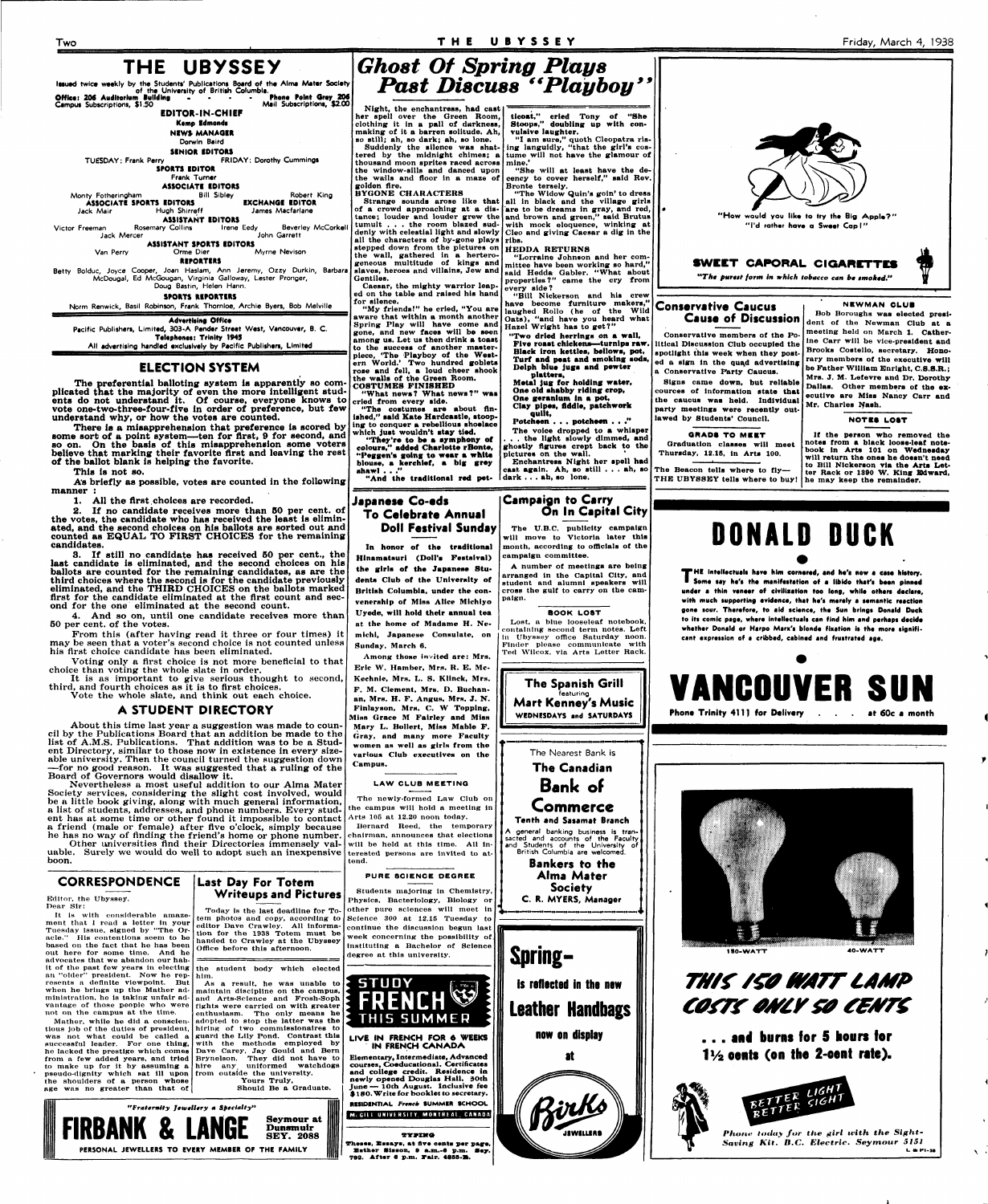# Two **T H E UBYSSE Y**

# **THE UBYSSEY**

**Kemp Edmonds NEWS MANAGER** 

**Itaued twice weekly by the Students' Publications Board of the Alma Mater Society of the University of British Columbia. Office 1 206 Auditorium Building ... . Phone Point Qrey 204 Campus** Subscriptions, \$1.50 **Mail Subscriptions, \$2.00** 

**EDITOR-IN-CHIEF** 

**ASSOCIÁTE EDITORS**<br>Bill Sibley Monty Fotheringham Bill Sibley Robert King **ASSOCIATI SPORTS IDITORS EXCHANGE IDITOR**  Jack Mair Hugh Shirreff James Macfarlane

**ASSISTANT EDITORS**<br>**Rosemary Collins Irene Eedy** Victor Freeman Rosemary Collins Irene Eedy Beverley McCorkel<br>John Garrett Irene Jack Mercer Jack Mercer

**Dorwin Baird** 

**SINIOR IDITORS** 

**ASSISTANT SPORTS EDITORS**<br>Orme Dier Van Perry Orme Dier Myrne Nevison

**TUESDAY: Frank Perry FRIDAY: Dorothy Cummings SPORTS IDITOR** 

**Frank Turner** 

Betty Bolduc, Joyce Cooper, Joan Haslam, Ann Jeremy, Ozzy Durkin, Barbara McDougal, Ed McGougan, Virginia Galloway, Lester Pronger, Doug Bastin, Helen Hann.

**RIPORTIRS** 

**SPORTS RIPORTIRS** 

Norm Renwick, Basil Robinson, Frank Thornloe, Archie Byers, Bob Melville

# Friday, March 4, 1938

# *Ghost Of Spring Plays Past Discuss "Playboy"*

**Advertising Office**  Pacific Publishers, Limited, 303-A **Pender Street West, Vancouver, B. C. Telephones: Trinity 1945 All advertising handled exclusively by Pacific Publishers, Limited** 

# **ELECTION SYSTEM**

**The preferential balloting system is apparently so complicated that the majority of even the more intelligent students do not understand it. Of course, everyone knows to vote one-two-three-four-five in order of preference, but few understand why, or how the votes are counted.** 

Voting only a first choice is not more beneficial to that choice than voting the whole slate in order.

It is as important to give serious thought to second, third, and fourth choices as it is to first choices.

**There is a misapprehension that preference is scored by some sort of a point system—ten for first, 9 for second, and so on. On the basis of this misapprehension some voters believe that marking their favorite flrst and leaving the rest of the ballot blank is helping the favorite.** 

Nevertheless a most useful addition to our Alma Mater Society services, considering the slight cost involved, would be a little book giving, along with much general information, a list of students, addresses, and phone numbers. Every student has at some time or other found it impossible to contact Arts 105 at 12.20 noon today.

**This is not so.** 

**A's briefly as possible, votes are counted in the following manner :** 

1. All the first choices are recorded.

**2. If no candidate receives more than 50 per cent, of the votes, the candidate who has received the least is eliminated, and the second choices on his ballots are sorted out and counted as EQUAL TO PIRST CHOICES for the remaining candidates.** 

**S. If still no candidate has received 60 per cent., the last candidate is eliminated, and the second choices on his ballots are counted for the remaining candidates, as are the third** choices **where the second is for the candidate previously eliminated, and the THIRD CHOICES on the ballots marked**  flrst for the candidate eliminated at the flrst count **and** second for the one eliminated at the second count.

4. And so on, until one candidate receives more than 60 per cent, of the votes.

From this (after having read it three or four times) it may be seen that a voter's second choice is not counted unless his flrst choice candidate has been eliminated.

Strange sounds arose like that all in black and the village girls **cency to cover herself," said Rev. Bronte tersely, "The Widow Quin's goin' to dress** 

Vote the whole slate, and think out each choice.

# **A STUDENT DIRECTORY**

**Metal jug for holding water, Ono old shabby riding crop, One geranium In a pot, Clay pipes, fiddle, patchwork** 

About this time last year a suggestion was made to council by the Publications Board that an addition be made to the list of A.M.S. Publications. That addition was to be a Student Directory, similar to those now in existence in every sizeable university. Then the council turned the suggestion down -for no good reason. It was suggested that a ruling of the Board of Governors would disallow **it.** 

It Is with considerable amazement that I read a letter in your Tuesday Issue, signed by "The Oracle." His contentions seem to be based on the fact that he has been out here for some time. And he advocates that we abandon our habit of the past few years In electing an "older" president. Now he rep-him. resents a definite viewpoint. But when he brings up the Mather administration, he is taking unfair advantage of those people who were not on the campus at the time.

**Night, the enchantress, had cast her spell over the Oreen Room, clothing it in a pall of darkness, making of it a barren solitude. Ah, so still; ah, so dark; ah, so lone. Suddenly the silence was shatthousand moon sprites raced across mine,' the window-sills and danced upon the walls and floor in a maze of golden Are. BYGONE CHARACTERS** 

> Lost, a blue looseleaf notebook containing second term notes. Left in Ubyssey offlce Saturday noon. Finder please communicate with Ted Wilcox, via Arts Letter Rack.

**of a crowd approaching at a dis-are to be dreams in gray, and red, tumult . . . the room blazed sudall the characters of by-gone plays ribs. stepped down from the pictures on HEDOA RETURNS the wall, gathered in a hertero-**

# **Last Day For Totem PURE SCIENCE DEGREE Writeups and Pictures**

**geneous multitude of kings and**  slaves, heroes and villains, Jew and **and Hedda Gabler.** "What about **Gentiles. Caesar, the mighty warrior leap-**

**ed on the table and raised his hand for silence.** 

tem photos and copy, according to editor Dave Crawley. All Information for the 1938 Totem must **be**  handed to Crawley at the Ubyssey Offlce before this afternoon.

**tered by the midnight chimes; a tume will not have the glamour of ing languidly, "that the girl's cos-"She will at least have the de-**

**"My friends I" he cried, "You are aware that within a month another Spring Play will have come and gone, and new faces will be seen among us. Let us then drink a toast to the success of another masterpiece, 'The Playboy of the Western World.' Two hundred goblets rose and fell, a loud cheer shook the walls of the Green Room. COSTUMES FINISHED** 

**"What news? What news?" was cried from every side.** 

**tance; louder and louder grew the and brown and green," aaid Brutus**  tumult... the room blazed sud- with mock eloquence, winking at denly with celestial light and slowly **Cleo** and giving Caesar a dig in the **Cleo and giving Caesar a dig in the** 

Today is the last deadline for To- other pure sciences will meet in Students majoring in Chemistry, Physics, Bacteriology, Biology or Science 300 at 12.15 Tuesday to continue the discussion begun last week concerning the possibility of Instituting **a** Bachelor of Science

**"The costumes are about finished," said Kate Hardcastle, stoop, ing to conquer a rebellious shoelace which just wouldn't stay tied.** 

**"They're to be a symphony of colours," added Charlotte rBonte, "Peggen's going to wear a white blouse, a kerchief, a big grey** 

**shawl . . ." "And the traditional red pet-**

**ticoat," cried Tony of "She Stoops," doubling up with convulsive laughter. "I am sure," quoth Cleopatra ris-**

**at**  Birks

# **"Lorraine Johnson and her com-**

**mittee have been working so hard," properties?" came the cry from every side?** 

> Cause of Discussion dent of the Newman Club at a **NEWMAN CLUB**<br>Bob Boroughs was elected presi**dent of** the **Newman Club at a meeting held** on **March 1. Catherine Carr will be vice-president and Brooks Costello, secretary. Honorary members of the executive will be Father William Bnrlght, C.S.S.R.; Mrs. J. M. Lefevre and Dr. Dorothy Dallas. Other members of the executive are Miss Nancy Carr and Mr. Charles Nash.**

**"Bill Nickerson and his crew have become furniture makers," laughed Rollo (he of the Wild Oats), "and have you heard what Hazel Wright has to get?"** 

**"Two dried herrings on a wall, Five roast chickens—turnips raw. Black Iron kettles, bellows, pot, Turf and peat and smoking sods, Oelph blue jugs and pewter platters.** 

a friend (male or female) after Ave o'clock, simply because he has no way of finding the friend's home or phone number. chairman, announces that elections

**T** HE intellectuals have him cornered, and he's now a case history.<br> **T** Some say he's the manifestation of a libido that's been pinned **Soma say** he's **the manifestation of a libido that's been pinned under a thin vanaar of civilisation too long, while others declare, with much supporting evidence, that he's merely a semantic reaction gone sour. Therefore, to aid science, tha Sun brings Donald Duck to its comic page, whara intellectuals can find him and perhaps decide**  whether Donald or Harpo Marx's blonde fixation is the more signifi**cant expratsion of a cribbed, cabined and frustrated aga.** 

# **1 80-WATT 40-WATT**  THIS ISO WATT LAMP COSTS ONLY 50 CENTS

Other universities find their Directories immensely val-will be held at this time. **AU** inuable. Surely we would do well to adopt such an inexpensive boon. terested persons are invited to at-

**quilt, Potcheen . . . potcheen . . ."** 

**The voice dropped to a whisper . . . the light slowly dimmed, and ghostly figures crept back to the**  pictures on the wall. **Enchantress Night her spell had cast, again. Ah, so still . . • ah, so dark . . . ah, so lone.** 



# **CORRESPONDENCE**

Editor, the Ubyssey. Dear Sir:

Mather, while he did a conscienwas not what could be called a successful leader. For one thing, he lacked the prestige which comes from a few added years, and tried to make up for it by assuming a pseudo-dignity which sat **ill** upon from outside the university. the shoulders of **a** person whose age was no greater than that of

# **Japanese Co-eds To Celebrate Annual Doll Festival Sunday**

**In honor of the traditional Hinamatsurl (Doll's Festslval)**  the girls of the Japanese Stu**dents Club of the University of British Columbia, under the convenership of Miss Alice Mlchiyo Uyede, will hold their annual tea at the home of Madame H. Nemichi, Japanese Consulate, on Sunday, March 6.** 

**Among those Invited are: Mrs. Eric W. Hamber, Mrs. R. E. Mc-Kechnie, Mrs. L. S. Klinck, Mrs. F. M. Clement, Mrs. O. Buchanan, Mrs. H. F. Angus, Mrs. J. N. Finlayson, Mrs. C. W Topping, Miss Grace M Fairley and Miss Mary L. Bollert, Miss Mable F. Gray, and many more Faculty women as well as girls from the various Club executives on the Campus.** 

**Campaign to Carry On In Capital City** 

**The U.B.C. publicity campaign will move to Victoria later this month, according to officials of the campaign committee.** 

**A number Of meetings are being arranged ln the Capital City, and student and alumni speakers will cross the gulf to carry on the campaign.** 

tious job of the duties of president, hiring of two commissionaires **to**  As a result, he was unable to maintain discipline on the campus, and Arts-Science and Frosh-Soph fights were carried on with greater enthusiasm. The only means **he**  adopted to stop the latter was **the**  guard the Lily Pond. Contrast this with the methods employed by Dave Carey. Jay Oould and Bern Brynelson. They did not have to hire any uniformed watchdogs

#### **BOOK LOST**

#### **L AW CLUB MEETING**

The newly-formed Law Club on the campus will hold a meeting in Bernard Reed, the temporary

tend.

the student body which elected

**The Spanish Grill**  featuring **Mart Kenney's Music WEDNESDAYS and SATURDAYS The Nearest Bank is The Canadian Bank of** 

Yours Truly,

Should Be **a** Graduate.

*'Fraternity Jewellery a Specialty"*  **FIRBANK & LANGE Seymour at Dunsmuir SEY. 2088 PERSONAL JEWELLERS TO EVERY MEMBER OF THE FAMILY** 

degree at this university.

**Commerce Tenth and Sasamat Branch**  A general banking business is tran-



**STUD Y f; ^ FRENCH^ THIS SUMME R** 

#### **LIVE IN FRENCH FOR 6 WEEKS IN FRENCH CANADA**

sacted and accounts of the Faculty and Students of the University of British Columbia are welcomed. **Bankers to the Alma Mater Society C. R. MYERS, Manager Spring**is reflected in the new **Leather Handbags** 

**Elementary, Intermediate, Advanced courses, Coeducational. Certificates and college credit. Residence in newly opened Douglas Hall. 30th June— lOth August. Inclusive fee \$ 180. Write for booklet to secretary.** 

**RESIDENTIAL** Frencb SUMMER SCHOOL

### McGILL UNIVERSITY, MONTREAL, CANADA

**TYVX-TO**  Theses, Essays, at five cents per page **Bather Slason, • s.m.-e p.m. Say.**  793. **After 0 p.m. JTair. 48SS-X.**  **now on display** 

**Conservative Caucus** 

**Conservative members of the Political Discussion Club occupied the spotlight this week when they posted a sign in the quad advertising a Conservative Party Cauous.** 

**Signs came down, but reliable cources of information state that the cauous was held. Individual party meetings were recently outlawed by Students' Council.** 

### **GRADS TO MEET**

**Graduation classes will meet Thursday, 12.15, in Arts 100.** 

**The Beacon tells where to fly—** 

**THB UBYSSEY tells where to buy!** 

#### **NOTES LOST**

**If the person who removed the notes from a black loose-leaf notebook in Arts 101 on Wednesday will return the ones he doesn't need to BUI Nickerson via the Arts Letter Rack or 1390 W. King Bdward, he may keep the remainder.** 

**DONALD DUCK** 



**. . . aa. barns lor 5 hours tar I \* , aeats (aa tha 2-eent rate).** 



*Phone today fur the girl ivith the Sight-Saving Kit. B.C. Electric. Seymour 5131*